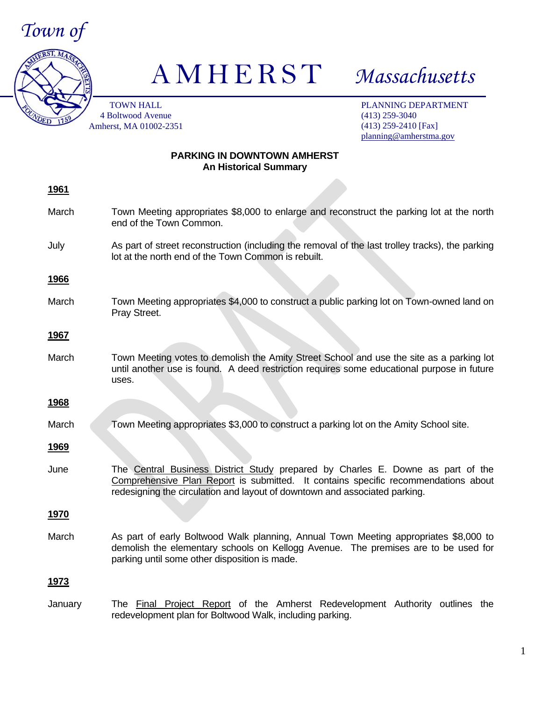



A M H E R S T *Massachusetts*

TOWN HALL 4 Boltwood Avenue Amherst, MA 01002-2351

PLANNING DEPARTMENT (413) 259-3040 (413) 259-2410 [Fax] planning@amherstma.gov

## **PARKING IN DOWNTOWN AMHERST An Historical Summary**

| <u>1961</u> |                                                                                                                                                                                                                                                     |
|-------------|-----------------------------------------------------------------------------------------------------------------------------------------------------------------------------------------------------------------------------------------------------|
| March       | Town Meeting appropriates \$8,000 to enlarge and reconstruct the parking lot at the north<br>end of the Town Common.                                                                                                                                |
| July        | As part of street reconstruction (including the removal of the last trolley tracks), the parking<br>lot at the north end of the Town Common is rebuilt.                                                                                             |
| <b>1966</b> |                                                                                                                                                                                                                                                     |
| March       | Town Meeting appropriates \$4,000 to construct a public parking lot on Town-owned land on<br>Pray Street.                                                                                                                                           |
| <u>1967</u> |                                                                                                                                                                                                                                                     |
| March       | Town Meeting votes to demolish the Amity Street School and use the site as a parking lot<br>until another use is found. A deed restriction requires some educational purpose in future<br>uses.                                                     |
| <u>1968</u> |                                                                                                                                                                                                                                                     |
| March       | Town Meeting appropriates \$3,000 to construct a parking lot on the Amity School site.                                                                                                                                                              |
| <u>1969</u> |                                                                                                                                                                                                                                                     |
| June        | The Central Business District Study prepared by Charles E. Downe as part of the<br>Comprehensive Plan Report is submitted. It contains specific recommendations about<br>redesigning the circulation and layout of downtown and associated parking. |
| <u>1970</u> |                                                                                                                                                                                                                                                     |
| March       | As part of early Boltwood Walk planning, Annual Town Meeting appropriates \$8,000 to<br>demolish the elementary schools on Kellogg Avenue. The premises are to be used for<br>parking until some other disposition is made.                         |
| <u>1973</u> |                                                                                                                                                                                                                                                     |
| January     | The <b>Final Project Report</b> of the Amherst Redevelopment Authority outlines the<br>redevelopment plan for Boltwood Walk, including parking.                                                                                                     |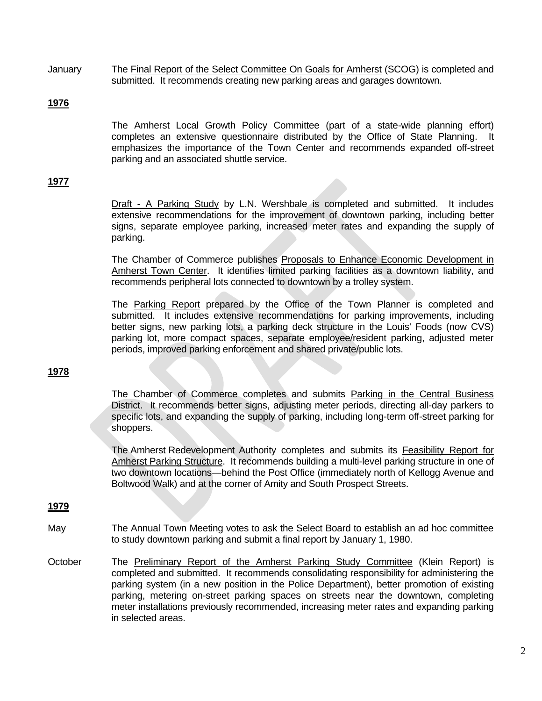January The Final Report of the Select Committee On Goals for Amherst (SCOG) is completed and submitted. It recommends creating new parking areas and garages downtown.

## **1976**

The Amherst Local Growth Policy Committee (part of a state-wide planning effort) completes an extensive questionnaire distributed by the Office of State Planning. It emphasizes the importance of the Town Center and recommends expanded off-street parking and an associated shuttle service.

## **1977**

Draft - A Parking Study by L.N. Wershbale is completed and submitted. It includes extensive recommendations for the improvement of downtown parking, including better signs, separate employee parking, increased meter rates and expanding the supply of parking.

The Chamber of Commerce publishes Proposals to Enhance Economic Development in Amherst Town Center. It identifies limited parking facilities as a downtown liability, and recommends peripheral lots connected to downtown by a trolley system.

The Parking Report prepared by the Office of the Town Planner is completed and submitted. It includes extensive recommendations for parking improvements, including better signs, new parking lots, a parking deck structure in the Louis' Foods (now CVS) parking lot, more compact spaces, separate employee/resident parking, adjusted meter periods, improved parking enforcement and shared private/public lots.

# **1978**

The Chamber of Commerce completes and submits Parking in the Central Business District. It recommends better signs, adjusting meter periods, directing all-day parkers to specific lots, and expanding the supply of parking, including long-term off-street parking for shoppers.

The Amherst Redevelopment Authority completes and submits its Feasibility Report for Amherst Parking Structure. It recommends building a multi-level parking structure in one of two downtown locations—behind the Post Office (immediately north of Kellogg Avenue and Boltwood Walk) and at the corner of Amity and South Prospect Streets.

- May The Annual Town Meeting votes to ask the Select Board to establish an ad hoc committee to study downtown parking and submit a final report by January 1, 1980.
- October The Preliminary Report of the Amherst Parking Study Committee (Klein Report) is completed and submitted. It recommends consolidating responsibility for administering the parking system (in a new position in the Police Department), better promotion of existing parking, metering on-street parking spaces on streets near the downtown, completing meter installations previously recommended, increasing meter rates and expanding parking in selected areas.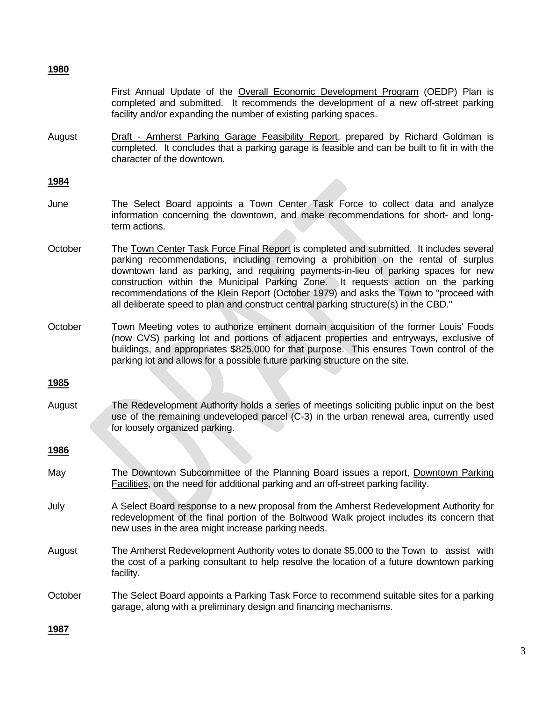**1980**

First Annual Update of the Overall Economic Development Program (OEDP) Plan is completed and submitted. It recommends the development of a new off-street parking facility and/or expanding the number of existing parking spaces.

August Draft - Amherst Parking Garage Feasibility Report, prepared by Richard Goldman is completed. It concludes that a parking garage is feasible and can be built to fit in with the character of the downtown.

## **1984**

- June The Select Board appoints a Town Center Task Force to collect data and analyze information concerning the downtown, and make recommendations for short- and longterm actions.
- October The Town Center Task Force Final Report is completed and submitted. It includes several parking recommendations, including removing a prohibition on the rental of surplus downtown land as parking, and requiring payments-in-lieu of parking spaces for new construction within the Municipal Parking Zone. It requests action on the parking recommendations of the Klein Report (October 1979) and asks the Town to "proceed with all deliberate speed to plan and construct central parking structure(s) in the CBD."
- October Town Meeting votes to authorize eminent domain acquisition of the former Louis' Foods (now CVS) parking lot and portions of adjacent properties and entryways, exclusive of buildings, and appropriates \$825,000 for that purpose. This ensures Town control of the parking lot and allows for a possible future parking structure on the site.

# **1985**

August The Redevelopment Authority holds a series of meetings soliciting public input on the best use of the remaining undeveloped parcel (C-3) in the urban renewal area, currently used for loosely organized parking.

# **1986**

- May The Downtown Subcommittee of the Planning Board issues a report, Downtown Parking Facilities, on the need for additional parking and an off-street parking facility.
- July A Select Board response to a new proposal from the Amherst Redevelopment Authority for redevelopment of the final portion of the Boltwood Walk project includes its concern that new uses in the area might increase parking needs.
- August The Amherst Redevelopment Authority votes to donate \$5,000 to the Town to assist with the cost of a parking consultant to help resolve the location of a future downtown parking facility.
- October The Select Board appoints a Parking Task Force to recommend suitable sites for a parking garage, along with a preliminary design and financing mechanisms.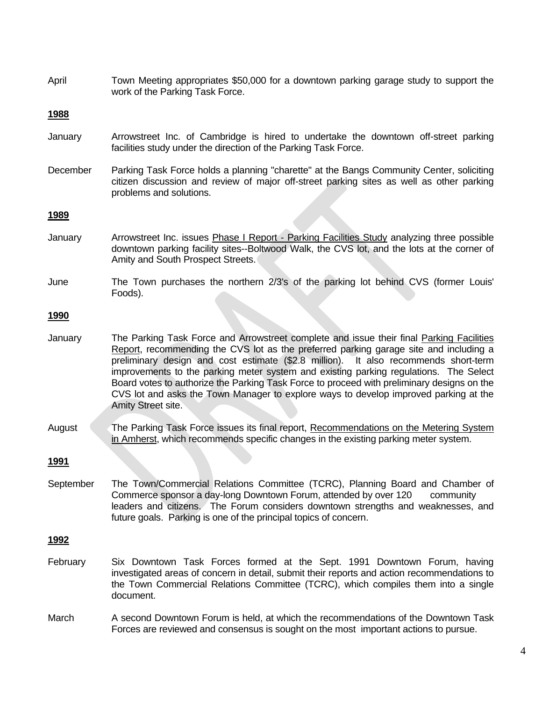April Town Meeting appropriates \$50,000 for a downtown parking garage study to support the work of the Parking Task Force.

## **1988**

- January Arrowstreet Inc. of Cambridge is hired to undertake the downtown off-street parking facilities study under the direction of the Parking Task Force.
- December Parking Task Force holds a planning "charette" at the Bangs Community Center, soliciting citizen discussion and review of major off-street parking sites as well as other parking problems and solutions.

#### **1989**

- January Arrowstreet Inc. issues Phase I Report Parking Facilities Study analyzing three possible downtown parking facility sites--Boltwood Walk, the CVS lot, and the lots at the corner of Amity and South Prospect Streets.
- June The Town purchases the northern 2/3's of the parking lot behind CVS (former Louis' Foods).

## **1990**

- January The Parking Task Force and Arrowstreet complete and issue their final Parking Facilities Report, recommending the CVS lot as the preferred parking garage site and including a preliminary design and cost estimate (\$2.8 million). It also recommends short-term improvements to the parking meter system and existing parking regulations. The Select Board votes to authorize the Parking Task Force to proceed with preliminary designs on the CVS lot and asks the Town Manager to explore ways to develop improved parking at the Amity Street site.
- August **The Parking Task Force issues its final report**, Recommendations on the Metering System in Amherst, which recommends specific changes in the existing parking meter system.

#### **1991**

September The Town/Commercial Relations Committee (TCRC), Planning Board and Chamber of Commerce sponsor a day-long Downtown Forum, attended by over 120 community leaders and citizens. The Forum considers downtown strengths and weaknesses, and future goals. Parking is one of the principal topics of concern.

- February Six Downtown Task Forces formed at the Sept. 1991 Downtown Forum, having investigated areas of concern in detail, submit their reports and action recommendations to the Town Commercial Relations Committee (TCRC), which compiles them into a single document.
- March A second Downtown Forum is held, at which the recommendations of the Downtown Task Forces are reviewed and consensus is sought on the most important actions to pursue.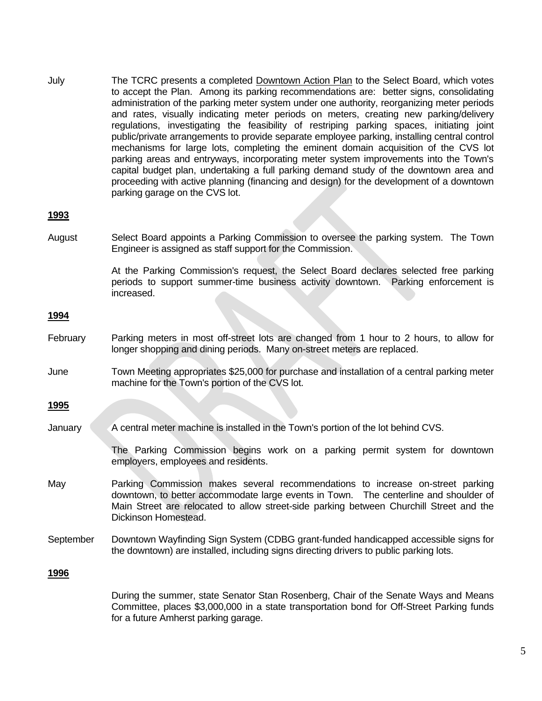July The TCRC presents a completed Downtown Action Plan to the Select Board, which votes to accept the Plan. Among its parking recommendations are: better signs, consolidating administration of the parking meter system under one authority, reorganizing meter periods and rates, visually indicating meter periods on meters, creating new parking/delivery regulations, investigating the feasibility of restriping parking spaces, initiating joint public/private arrangements to provide separate employee parking, installing central control mechanisms for large lots, completing the eminent domain acquisition of the CVS lot parking areas and entryways, incorporating meter system improvements into the Town's capital budget plan, undertaking a full parking demand study of the downtown area and proceeding with active planning (financing and design) for the development of a downtown parking garage on the CVS lot.

## **1993**

August Select Board appoints a Parking Commission to oversee the parking system. The Town Engineer is assigned as staff support for the Commission.

> At the Parking Commission's request, the Select Board declares selected free parking periods to support summer-time business activity downtown. Parking enforcement is increased.

## **1994**

- February Parking meters in most off-street lots are changed from 1 hour to 2 hours, to allow for longer shopping and dining periods. Many on-street meters are replaced.
- June Town Meeting appropriates \$25,000 for purchase and installation of a central parking meter machine for the Town's portion of the CVS lot.

#### **1995**

January A central meter machine is installed in the Town's portion of the lot behind CVS.

The Parking Commission begins work on a parking permit system for downtown employers, employees and residents.

- May Parking Commission makes several recommendations to increase on-street parking downtown, to better accommodate large events in Town. The centerline and shoulder of Main Street are relocated to allow street-side parking between Churchill Street and the Dickinson Homestead.
- September Downtown Wayfinding Sign System (CDBG grant-funded handicapped accessible signs for the downtown) are installed, including signs directing drivers to public parking lots.

## **1996**

During the summer, state Senator Stan Rosenberg, Chair of the Senate Ways and Means Committee, places \$3,000,000 in a state transportation bond for Off-Street Parking funds for a future Amherst parking garage.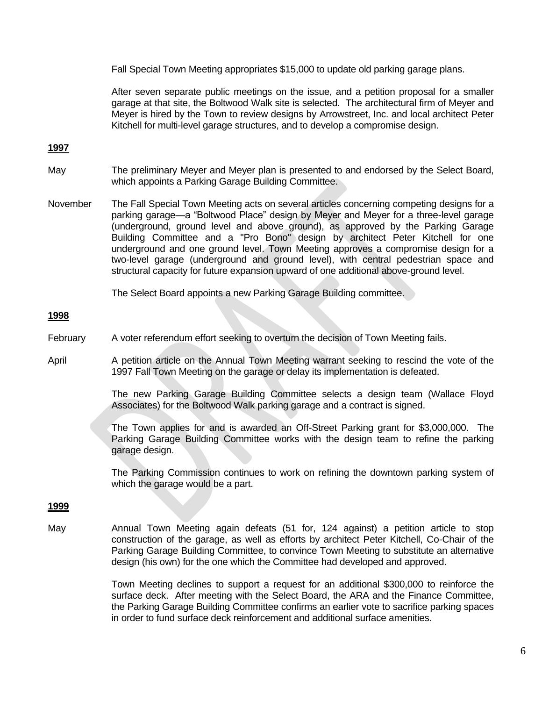Fall Special Town Meeting appropriates \$15,000 to update old parking garage plans.

After seven separate public meetings on the issue, and a petition proposal for a smaller garage at that site, the Boltwood Walk site is selected. The architectural firm of Meyer and Meyer is hired by the Town to review designs by Arrowstreet, Inc. and local architect Peter Kitchell for multi-level garage structures, and to develop a compromise design.

# **1997**

- May The preliminary Meyer and Meyer plan is presented to and endorsed by the Select Board, which appoints a Parking Garage Building Committee.
- November The Fall Special Town Meeting acts on several articles concerning competing designs for a parking garage—a "Boltwood Place" design by Meyer and Meyer for a three-level garage (underground, ground level and above ground), as approved by the Parking Garage Building Committee and a "Pro Bono" design by architect Peter Kitchell for one underground and one ground level. Town Meeting approves a compromise design for a two-level garage (underground and ground level), with central pedestrian space and structural capacity for future expansion upward of one additional above-ground level.

The Select Board appoints a new Parking Garage Building committee.

# **1998**

- February A voter referendum effort seeking to overturn the decision of Town Meeting fails.
- April Apetition article on the Annual Town Meeting warrant seeking to rescind the vote of the 1997 Fall Town Meeting on the garage or delay its implementation is defeated.

The new Parking Garage Building Committee selects a design team (Wallace Floyd Associates) for the Boltwood Walk parking garage and a contract is signed.

The Town applies for and is awarded an Off-Street Parking grant for \$3,000,000. The Parking Garage Building Committee works with the design team to refine the parking garage design.

The Parking Commission continues to work on refining the downtown parking system of which the garage would be a part.

# **1999**

May Annual Town Meeting again defeats (51 for, 124 against) a petition article to stop construction of the garage, as well as efforts by architect Peter Kitchell, Co-Chair of the Parking Garage Building Committee, to convince Town Meeting to substitute an alternative design (his own) for the one which the Committee had developed and approved.

> Town Meeting declines to support a request for an additional \$300,000 to reinforce the surface deck. After meeting with the Select Board, the ARA and the Finance Committee, the Parking Garage Building Committee confirms an earlier vote to sacrifice parking spaces in order to fund surface deck reinforcement and additional surface amenities.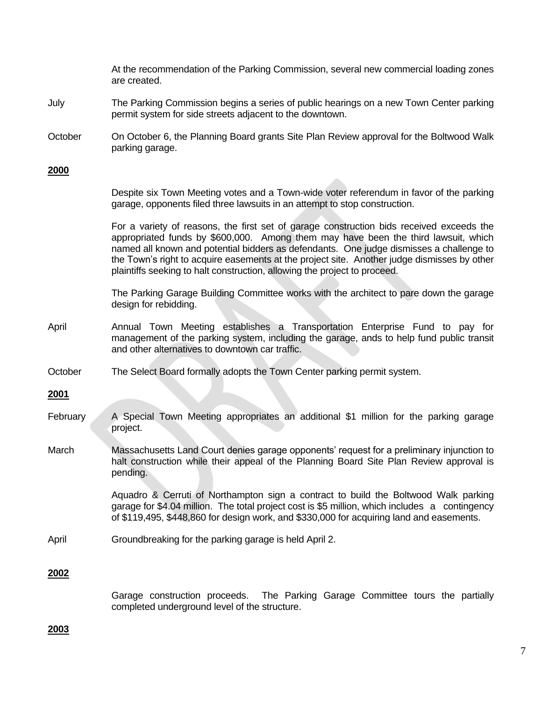|             | At the recommendation of the Parking Commission, several new commercial loading zones<br>are created.                                                                                                                                                                                                                                                                                                                                                 |
|-------------|-------------------------------------------------------------------------------------------------------------------------------------------------------------------------------------------------------------------------------------------------------------------------------------------------------------------------------------------------------------------------------------------------------------------------------------------------------|
| July        | The Parking Commission begins a series of public hearings on a new Town Center parking<br>permit system for side streets adjacent to the downtown.                                                                                                                                                                                                                                                                                                    |
| October     | On October 6, the Planning Board grants Site Plan Review approval for the Boltwood Walk<br>parking garage.                                                                                                                                                                                                                                                                                                                                            |
| 2000        |                                                                                                                                                                                                                                                                                                                                                                                                                                                       |
|             | Despite six Town Meeting votes and a Town-wide voter referendum in favor of the parking<br>garage, opponents filed three lawsuits in an attempt to stop construction.                                                                                                                                                                                                                                                                                 |
|             | For a variety of reasons, the first set of garage construction bids received exceeds the<br>appropriated funds by \$600,000. Among them may have been the third lawsuit, which<br>named all known and potential bidders as defendants. One judge dismisses a challenge to<br>the Town's right to acquire easements at the project site. Another judge dismisses by other<br>plaintiffs seeking to halt construction, allowing the project to proceed. |
|             | The Parking Garage Building Committee works with the architect to pare down the garage<br>design for rebidding.                                                                                                                                                                                                                                                                                                                                       |
| April       | Annual Town Meeting establishes a Transportation Enterprise Fund to pay for<br>management of the parking system, including the garage, ands to help fund public transit<br>and other alternatives to downtown car traffic.                                                                                                                                                                                                                            |
| October     | The Select Board formally adopts the Town Center parking permit system.                                                                                                                                                                                                                                                                                                                                                                               |
| <u>2001</u> |                                                                                                                                                                                                                                                                                                                                                                                                                                                       |
| February    | A Special Town Meeting appropriates an additional \$1 million for the parking garage<br>project.                                                                                                                                                                                                                                                                                                                                                      |
| March       | Massachusetts Land Court denies garage opponents' request for a preliminary injunction to<br>halt construction while their appeal of the Planning Board Site Plan Review approval is<br>pending.                                                                                                                                                                                                                                                      |
|             | Aquadro & Cerruti of Northampton sign a contract to build the Boltwood Walk parking<br>garage for \$4.04 million. The total project cost is \$5 million, which includes a contingency<br>of \$119,495, \$448,860 for design work, and \$330,000 for acquiring land and easements.                                                                                                                                                                     |
| April       | Groundbreaking for the parking garage is held April 2.                                                                                                                                                                                                                                                                                                                                                                                                |
| 2002        |                                                                                                                                                                                                                                                                                                                                                                                                                                                       |
|             | The Parking Garage Committee tours the partially<br>Garage construction proceeds.<br>completed underground level of the structure.                                                                                                                                                                                                                                                                                                                    |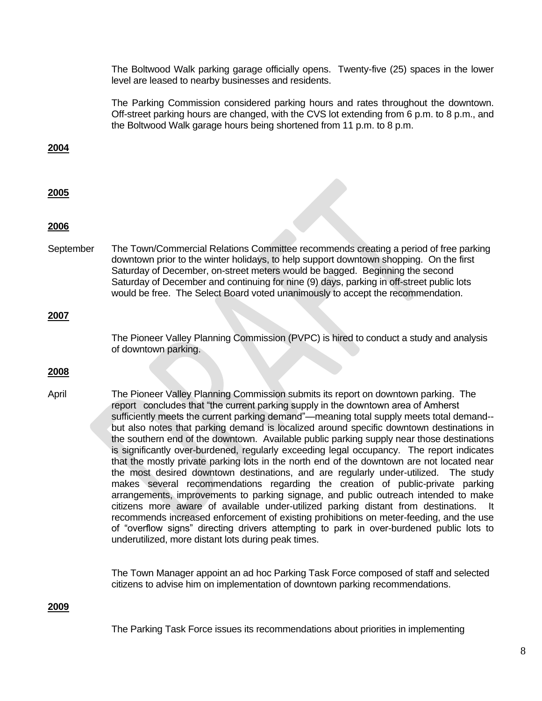The Boltwood Walk parking garage officially opens. Twenty-five (25) spaces in the lower level are leased to nearby businesses and residents.

The Parking Commission considered parking hours and rates throughout the downtown. Off-street parking hours are changed, with the CVS lot extending from 6 p.m. to 8 p.m., and the Boltwood Walk garage hours being shortened from 11 p.m. to 8 p.m.

**2004**

#### **2005**

#### **2006**

September The Town/Commercial Relations Committee recommends creating a period of free parking downtown prior to the winter holidays, to help support downtown shopping. On the first Saturday of December, on-street meters would be bagged. Beginning the second Saturday of December and continuing for nine (9) days, parking in off-street public lots would be free. The Select Board voted unanimously to accept the recommendation.

## **2007**

The Pioneer Valley Planning Commission (PVPC) is hired to conduct a study and analysis of downtown parking.

## **2008**

April The Pioneer Valley Planning Commission submits its report on downtown parking. The report concludes that "the current parking supply in the downtown area of Amherst sufficiently meets the current parking demand"—meaning total supply meets total demand- but also notes that parking demand is localized around specific downtown destinations in the southern end of the downtown. Available public parking supply near those destinations is significantly over-burdened, regularly exceeding legal occupancy. The report indicates that the mostly private parking lots in the north end of the downtown are not located near the most desired downtown destinations, and are regularly under-utilized. The study makes several recommendations regarding the creation of public-private parking arrangements, improvements to parking signage, and public outreach intended to make citizens more aware of available under-utilized parking distant from destinations. It recommends increased enforcement of existing prohibitions on meter-feeding, and the use of "overflow signs" directing drivers attempting to park in over-burdened public lots to underutilized, more distant lots during peak times.

> The Town Manager appoint an ad hoc Parking Task Force composed of staff and selected citizens to advise him on implementation of downtown parking recommendations.

**2009**

The Parking Task Force issues its recommendations about priorities in implementing